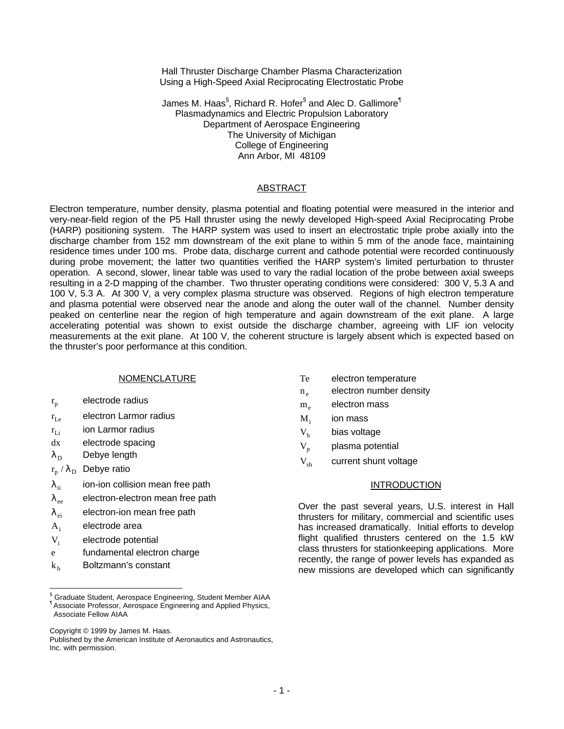Hall Thruster Discharge Chamber Plasma Characterization Using a High-Speed Axial Reciprocating Electrostatic Probe

James M. Haas $^{\S},$  Richard R. Hofer $^{\S}$  and Alec D. Gallimore $^{\P}$ Plasmadynamics and Electric Propulsion Laboratory Department of Aerospace Engineering The University of Michigan College of Engineering Ann Arbor, MI 48109

#### ABSTRACT

Electron temperature, number density, plasma potential and floating potential were measured in the interior and very-near-field region of the P5 Hall thruster using the newly developed High-speed Axial Reciprocating Probe (HARP) positioning system. The HARP system was used to insert an electrostatic triple probe axially into the discharge chamber from 152 mm downstream of the exit plane to within 5 mm of the anode face, maintaining residence times under 100 ms. Probe data, discharge current and cathode potential were recorded continuously during probe movement; the latter two quantities verified the HARP system's limited perturbation to thruster operation. A second, slower, linear table was used to vary the radial location of the probe between axial sweeps resulting in a 2-D mapping of the chamber. Two thruster operating conditions were considered: 300 V, 5.3 A and 100 V, 5.3 A. At 300 V, a very complex plasma structure was observed. Regions of high electron temperature and plasma potential were observed near the anode and along the outer wall of the channel. Number density peaked on centerline near the region of high temperature and again downstream of the exit plane. A large accelerating potential was shown to exist outside the discharge chamber, agreeing with LIF ion velocity measurements at the exit plane. At 100 V, the coherent structure is largely absent which is expected based on the thruster's poor performance at this condition.

#### NOMENCLATURE

- $r_{p}$ electrode radius
- $r_{\rm Le}$  electron Larmor radius
- $r_{Li}$  ion Larmor radius
- dx electrode spacing
- $\lambda_{\rm D}$  Debye length
- $\rm r_p$  /  $\rm \lambda_D$  Debye ratio
- $\lambda_{ii}$  ion-ion collision mean free path
- $\lambda_{\text{ee}}$  electron-electron mean free path
- $\lambda_{ei}$  electron-ion mean free path
- A<sup>i</sup> electrode area

 $\overline{a}$ 

- V<sub>i</sub> electrode potential
- e fundamental electron charge
- $k<sub>b</sub>$ Boltzmann's constant
- Te electron temperature
- $n_{\alpha}$ electron number density
- $m<sub>o</sub>$  electron mass
- $M_i$ ion mass
- $V<sub>b</sub>$  bias voltage
- $V_p$  plasma potential
- $V_{ab}$  current shunt voltage

### **INTRODUCTION**

Over the past several years, U.S. interest in Hall thrusters for military, commercial and scientific uses has increased dramatically. Initial efforts to develop flight qualified thrusters centered on the 1.5 kW class thrusters for stationkeeping applications. More recently, the range of power levels has expanded as new missions are developed which can significantly

<sup>§</sup> Graduate Student, Aerospace Engineering, Student Member AIAA ¶ Associate Professor, Aerospace Engineering and Applied Physics, Associate Fellow AIAA

Copyright © 1999 by James M. Haas.

Published by the American Institute of Aeronautics and Astronautics, Inc. with permission.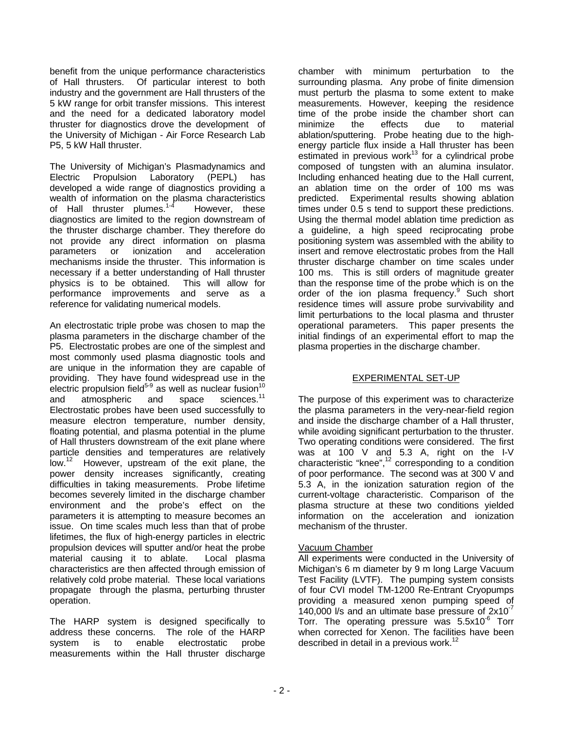benefit from the unique performance characteristics of Hall thrusters. Of particular interest to both industry and the government are Hall thrusters of the 5 kW range for orbit transfer missions. This interest and the need for a dedicated laboratory model thruster for diagnostics drove the development of the University of Michigan - Air Force Research Lab P5, 5 kW Hall thruster.

The University of Michigan's Plasmadynamics and Electric Propulsion Laboratory (PEPL) has developed a wide range of diagnostics providing a wealth of information on the plasma characteristics of Hall thruster plumes.<sup>1-4</sup> However, these diagnostics are limited to the region downstream of the thruster discharge chamber. They therefore do not provide any direct information on plasma parameters or ionization and acceleration mechanisms inside the thruster. This information is necessary if a better understanding of Hall thruster physics is to be obtained. This will allow for performance improvements and serve as a reference for validating numerical models.

An electrostatic triple probe was chosen to map the plasma parameters in the discharge chamber of the P5. Electrostatic probes are one of the simplest and most commonly used plasma diagnostic tools and are unique in the information they are capable of providing. They have found widespread use in the electric propulsion field $5-9$  as well as nuclear fusion<sup>1</sup> and atmospheric and space sciences.<sup>11</sup> Electrostatic probes have been used successfully to measure electron temperature, number density, floating potential, and plasma potential in the plume of Hall thrusters downstream of the exit plane where particle densities and temperatures are relatively low.<sup>12</sup> However, upstream of the exit plane, the power density increases significantly, creating difficulties in taking measurements. Probe lifetime becomes severely limited in the discharge chamber environment and the probe's effect on the parameters it is attempting to measure becomes an issue. On time scales much less than that of probe lifetimes, the flux of high-energy particles in electric propulsion devices will sputter and/or heat the probe material causing it to ablate. Local plasma characteristics are then affected through emission of relatively cold probe material. These local variations propagate through the plasma, perturbing thruster operation.

The HARP system is designed specifically to address these concerns. The role of the HARP system is to enable electrostatic probe measurements within the Hall thruster discharge

chamber with minimum perturbation to the surrounding plasma. Any probe of finite dimension must perturb the plasma to some extent to make measurements. However, keeping the residence time of the probe inside the chamber short can minimize the effects due to material ablation/sputtering. Probe heating due to the highenergy particle flux inside a Hall thruster has been estimated in previous work $^{13}$  for a cylindrical probe composed of tungsten with an alumina insulator. Including enhanced heating due to the Hall current, an ablation time on the order of 100 ms was predicted. Experimental results showing ablation times under 0.5 s tend to support these predictions. Using the thermal model ablation time prediction as a guideline, a high speed reciprocating probe positioning system was assembled with the ability to insert and remove electrostatic probes from the Hall thruster discharge chamber on time scales under 100 ms. This is still orders of magnitude greater than the response time of the probe which is on the order of the ion plasma frequency.<sup>9</sup> Such short residence times will assure probe survivability and limit perturbations to the local plasma and thruster operational parameters. This paper presents the initial findings of an experimental effort to map the plasma properties in the discharge chamber.

## EXPERIMENTAL SET-UP

The purpose of this experiment was to characterize the plasma parameters in the very-near-field region and inside the discharge chamber of a Hall thruster, while avoiding significant perturbation to the thruster. Two operating conditions were considered. The first was at 100 V and 5.3 A, right on the I-V characteristic "knee", $12$  corresponding to a condition of poor performance. The second was at 300 V and 5.3 A, in the ionization saturation region of the current-voltage characteristic. Comparison of the plasma structure at these two conditions yielded information on the acceleration and ionization mechanism of the thruster.

# Vacuum Chamber

All experiments were conducted in the University of Michigan's 6 m diameter by 9 m long Large Vacuum Test Facility (LVTF). The pumping system consists of four CVI model TM-1200 Re-Entrant Cryopumps providing a measured xenon pumping speed of 140,000 l/s and an ultimate base pressure of  $2x10^{-7}$ Torr. The operating pressure was  $5.5x10^{-6}$  Torr when corrected for Xenon. The facilities have been described in detail in a previous work.<sup>12</sup>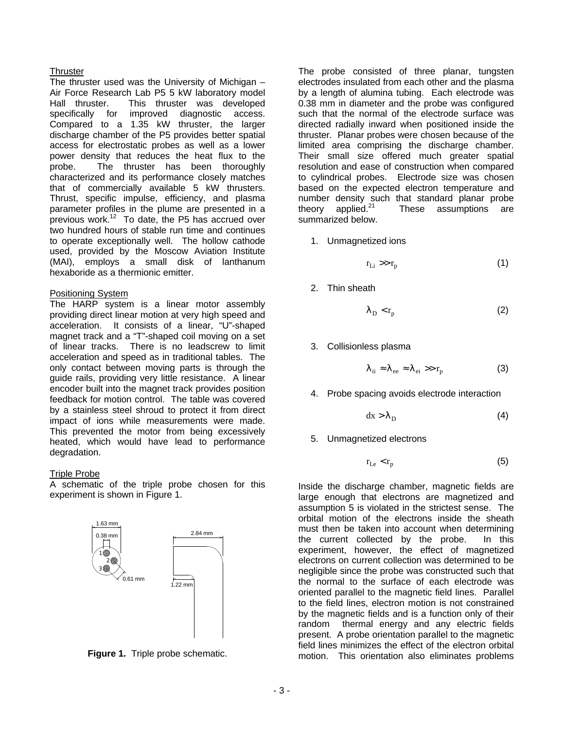### **Thruster**

The thruster used was the University of Michigan – Air Force Research Lab P5 5 kW laboratory model Hall thruster. This thruster was developed specifically for improved diagnostic access. Compared to a 1.35 kW thruster, the larger discharge chamber of the P5 provides better spatial access for electrostatic probes as well as a lower power density that reduces the heat flux to the probe. The thruster has been thoroughly characterized and its performance closely matches that of commercially available 5 kW thrusters. Thrust, specific impulse, efficiency, and plasma parameter profiles in the plume are presented in a previous work.<sup>12</sup> To date, the P5 has accrued over two hundred hours of stable run time and continues to operate exceptionally well. The hollow cathode used, provided by the Moscow Aviation Institute (MAI), employs a small disk of lanthanum hexaboride as a thermionic emitter.

### Positioning System

The HARP system is a linear motor assembly providing direct linear motion at very high speed and acceleration. It consists of a linear, "U"-shaped magnet track and a "T"-shaped coil moving on a set of linear tracks. There is no leadscrew to limit acceleration and speed as in traditional tables. The only contact between moving parts is through the guide rails, providing very little resistance. A linear encoder built into the magnet track provides position feedback for motion control. The table was covered by a stainless steel shroud to protect it from direct impact of ions while measurements were made. This prevented the motor from being excessively heated, which would have lead to performance degradation.

## Triple Probe

A schematic of the triple probe chosen for this experiment is shown in Figure 1.





The probe consisted of three planar, tungsten electrodes insulated from each other and the plasma by a length of alumina tubing. Each electrode was 0.38 mm in diameter and the probe was configured such that the normal of the electrode surface was directed radially inward when positioned inside the thruster. Planar probes were chosen because of the limited area comprising the discharge chamber. Their small size offered much greater spatial resolution and ease of construction when compared to cylindrical probes. Electrode size was chosen based on the expected electron temperature and number density such that standard planar probe theory applied. $21$  These assumptions are summarized below.

1. Unmagnetized ions

$$
r_{Li} \gg r_p \tag{1}
$$

2. Thin sheath

$$
\lambda_{\rm D} < r_{\rm p} \tag{2}
$$

3. Collisionless plasma

$$
\lambda_{ii} \approx \lambda_{ee} \approx \lambda_{ei} \gg r_p \tag{3}
$$

4. Probe spacing avoids electrode interaction

$$
dx > \lambda_D \tag{4}
$$

5. Unmagnetized electrons

$$
r_{Le} < r_p \tag{5}
$$

Inside the discharge chamber, magnetic fields are large enough that electrons are magnetized and assumption 5 is violated in the strictest sense. The orbital motion of the electrons inside the sheath must then be taken into account when determining the current collected by the probe. In this experiment, however, the effect of magnetized electrons on current collection was determined to be negligible since the probe was constructed such that the normal to the surface of each electrode was oriented parallel to the magnetic field lines. Parallel to the field lines, electron motion is not constrained by the magnetic fields and is a function only of their random thermal energy and any electric fields present. A probe orientation parallel to the magnetic field lines minimizes the effect of the electron orbital motion. This orientation also eliminates problems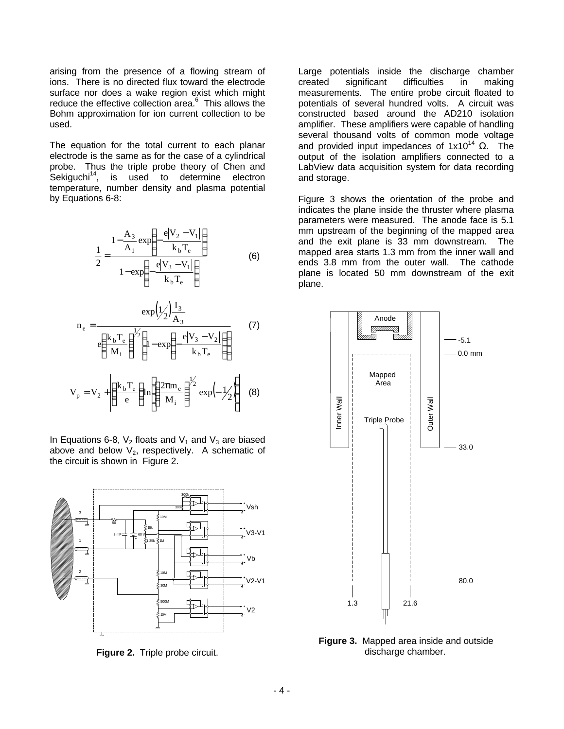arising from the presence of a flowing stream of ions. There is no directed flux toward the electrode surface nor does a wake region exist which might reduce the effective collection area.<sup>6</sup> This allows the Bohm approximation for ion current collection to be used.

The equation for the total current to each planar electrode is the same as for the case of a cylindrical probe. Thus the triple probe theory of Chen and  $Sekiquchi<sup>14</sup>$ , is used to determine electron temperature, number density and plasma potential by Equations 6-8:

$$
\frac{1}{2} = \frac{1 - \frac{A_3}{A_1} \exp\left(-\frac{e|V_2 - V_1|}{k_b T_e}\right)}{1 - \exp\left(-\frac{e|V_3 - V_1|}{k_b T_e}\right)}
$$
(6)

$$
n_e = \frac{\exp\left(\frac{1}{2}\right)\frac{I_3}{A_3}}{e\left(\frac{k_b T_e}{M_i}\right)^{\frac{1}{2}} \left(1 - \exp\left(-\frac{e|V_3 - V_2|}{k_b T_e}\right)\right)}
$$
(7)  

$$
V_p = V_2 + \left(\frac{k_b T_e}{e}\right) \ln\left[\left(\frac{2\pi m_e}{M_i}\right)^{\frac{1}{2}} \exp\left(-\frac{1}{2}\right)\right]
$$
(8)

In Equations 6-8,  $V_2$  floats and  $V_1$  and  $V_3$  are biased above and below  $V_2$ , respectively. A schematic of the circuit is shown in Figure 2.



**Figure 2.** Triple probe circuit.

Large potentials inside the discharge chamber created significant difficulties in making measurements. The entire probe circuit floated to potentials of several hundred volts. A circuit was constructed based around the AD210 isolation amplifier. These amplifiers were capable of handling several thousand volts of common mode voltage and provided input impedances of  $1x10^{14}$  Ω. The output of the isolation amplifiers connected to a LabView data acquisition system for data recording and storage.

Figure 3 shows the orientation of the probe and indicates the plane inside the thruster where plasma parameters were measured. The anode face is 5.1 mm upstream of the beginning of the mapped area and the exit plane is 33 mm downstream. The mapped area starts 1.3 mm from the inner wall and ends 3.8 mm from the outer wall. The cathode plane is located 50 mm downstream of the exit plane.



**Figure 3.** Mapped area inside and outside discharge chamber.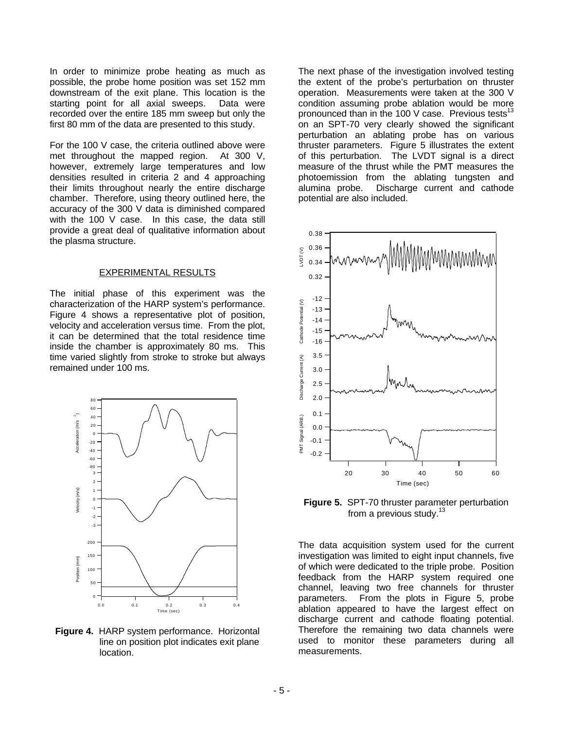In order to minimize probe heating as much as possible, the probe home position was set 152 mm downstream of the exit plane. This location is the starting point for all axial sweeps. Data were recorded over the entire 185 mm sweep but only the first 80 mm of the data are presented to this study.

For the 100 V case, the criteria outlined above were met throughout the mapped region. At 300 V, however, extremely large temperatures and low densities resulted in criteria 2 and 4 approaching their limits throughout nearly the entire discharge chamber. Therefore, using theory outlined here, the accuracy of the 300 V data is diminished compared with the 100 V case. In this case, the data still provide a great deal of qualitative information about the plasma structure.

#### EXPERIMENTAL RESULTS

The initial phase of this experiment was the characterization of the HARP system's performance. Figure 4 shows a representative plot of position, velocity and acceleration versus time. From the plot, it can be determined that the total residence time inside the chamber is approximately 80 ms. This time varied slightly from stroke to stroke but always remained under 100 ms.



**Figure 4.** HARP system performance. Horizontal line on position plot indicates exit plane location.

The next phase of the investigation involved testing the extent of the probe's perturbation on thruster operation. Measurements were taken at the 300 V condition assuming probe ablation would be more pronounced than in the 100 V case. Previous tests<sup>13</sup> on an SPT-70 very clearly showed the significant perturbation an ablating probe has on various thruster parameters. Figure 5 illustrates the extent of this perturbation. The LVDT signal is a direct measure of the thrust while the PMT measures the photoemission from the ablating tungsten and alumina probe. Discharge current and cathode potential are also included.



**Figure 5. SPT-70 thruster parameter perturbation** from a previous study. $13$ 

The data acquisition system used for the current investigation was limited to eight input channels, five of which were dedicated to the triple probe. Position feedback from the HARP system required one channel, leaving two free channels for thruster parameters. From the plots in Figure 5, probe ablation appeared to have the largest effect on discharge current and cathode floating potential. Therefore the remaining two data channels were used to monitor these parameters during all measurements.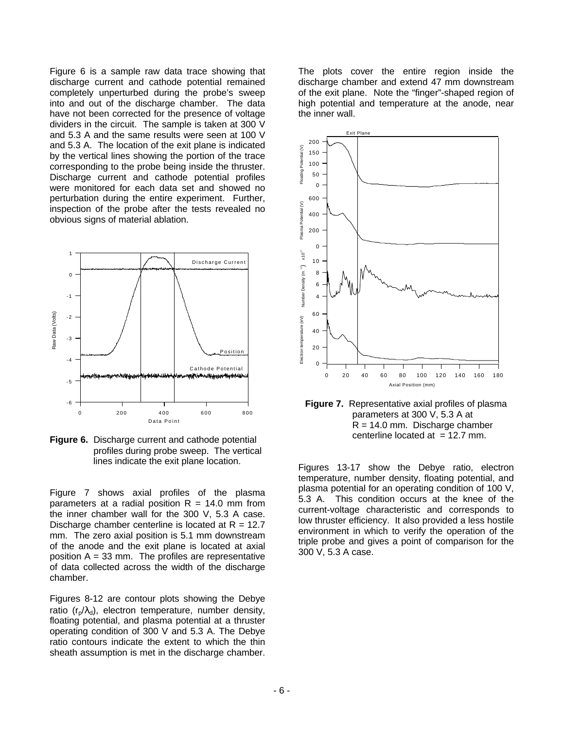Figure 6 is a sample raw data trace showing that discharge current and cathode potential remained completely unperturbed during the probe's sweep into and out of the discharge chamber. The data have not been corrected for the presence of voltage dividers in the circuit. The sample is taken at 300 V and 5.3 A and the same results were seen at 100 V and 5.3 A. The location of the exit plane is indicated by the vertical lines showing the portion of the trace corresponding to the probe being inside the thruster. Discharge current and cathode potential profiles were monitored for each data set and showed no perturbation during the entire experiment. Further, inspection of the probe after the tests revealed no obvious signs of material ablation.



**Figure 6.** Discharge current and cathode potential profiles during probe sweep. The vertical lines indicate the exit plane location.

Figure 7 shows axial profiles of the plasma parameters at a radial position  $R = 14.0$  mm from the inner chamber wall for the 300 V, 5.3 A case. Discharge chamber centerline is located at  $R = 12.7$ mm. The zero axial position is 5.1 mm downstream of the anode and the exit plane is located at axial position  $A = 33$  mm. The profiles are representative of data collected across the width of the discharge chamber.

Figures 8-12 are contour plots showing the Debye ratio  $(r_p/\lambda_d)$ , electron temperature, number density, floating potential, and plasma potential at a thruster operating condition of 300 V and 5.3 A. The Debye ratio contours indicate the extent to which the thin sheath assumption is met in the discharge chamber.

The plots cover the entire region inside the discharge chamber and extend 47 mm downstream of the exit plane. Note the "finger"-shaped region of high potential and temperature at the anode, near the inner wall.





Figures 13-17 show the Debye ratio, electron temperature, number density, floating potential, and plasma potential for an operating condition of 100 V, 5.3 A. This condition occurs at the knee of the current-voltage characteristic and corresponds to low thruster efficiency. It also provided a less hostile environment in which to verify the operation of the triple probe and gives a point of comparison for the 300 V, 5.3 A case.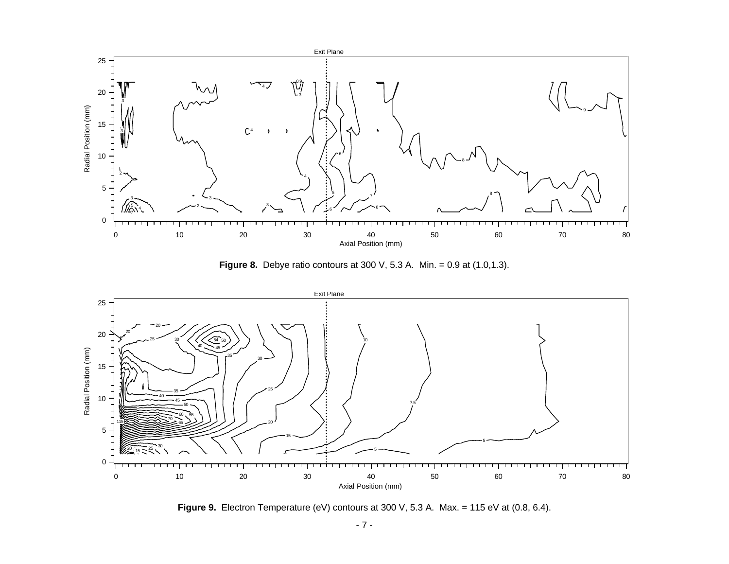

**Figure 8.** Debye ratio contours at 300 V, 5.3 A. Min. = 0.9 at (1.0,1.3).



Figure 9. Electron Temperature (eV) contours at 300 V, 5.3 A. Max. = 115 eV at (0.8, 6.4).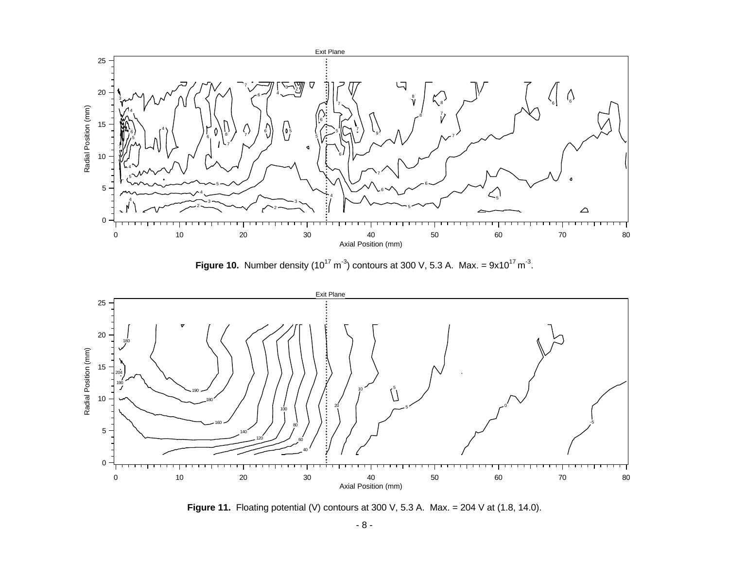

**Figure 10.** Number density (10<sup>17</sup> m<sup>-3</sup>) contours at 300 V, 5.3 A. Max. =  $9x10^{17}$  m<sup>-3</sup>.



**Figure 11.** Floating potential (V) contours at 300 V, 5.3 A. Max. = 204 V at (1.8, 14.0).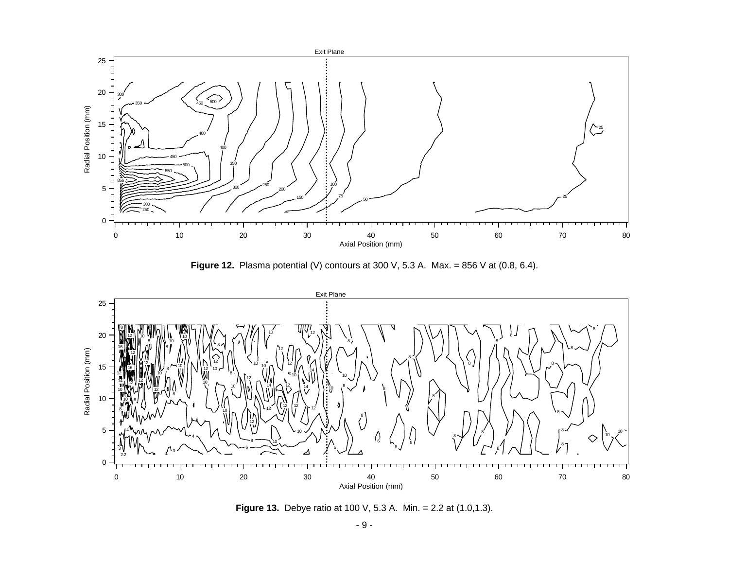

**Figure 12.** Plasma potential (V) contours at 300 V, 5.3 A. Max. = 856 V at (0.8, 6.4).



**Figure 13.** Debye ratio at 100 V, 5.3 A. Min. = 2.2 at (1.0,1.3).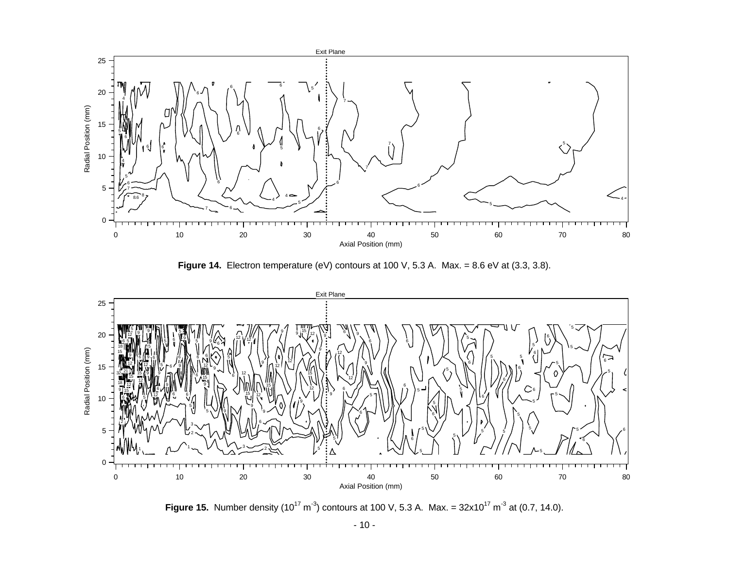

Figure 14. Electron temperature (eV) contours at 100 V, 5.3 A. Max. = 8.6 eV at (3.3, 3.8).



**Figure 15.** Number density  $(10^{17} \text{ m}^3)$  contours at 100 V, 5.3 A. Max. =  $32 \times 10^{17} \text{ m}^3$  at  $(0.7, 14.0)$ .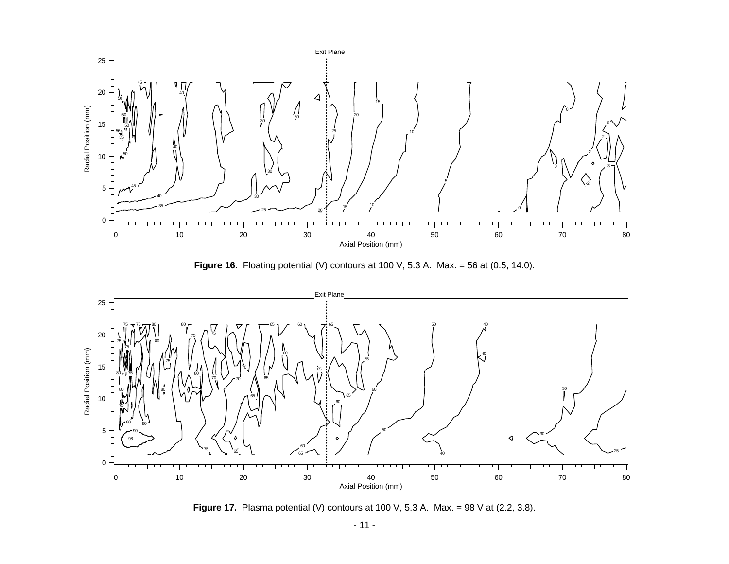

**Figure 16.** Floating potential (V) contours at 100 V, 5.3 A. Max. = 56 at (0.5, 14.0).



**Figure 17.** Plasma potential (V) contours at 100 V, 5.3 A. Max. = 98 V at (2.2, 3.8).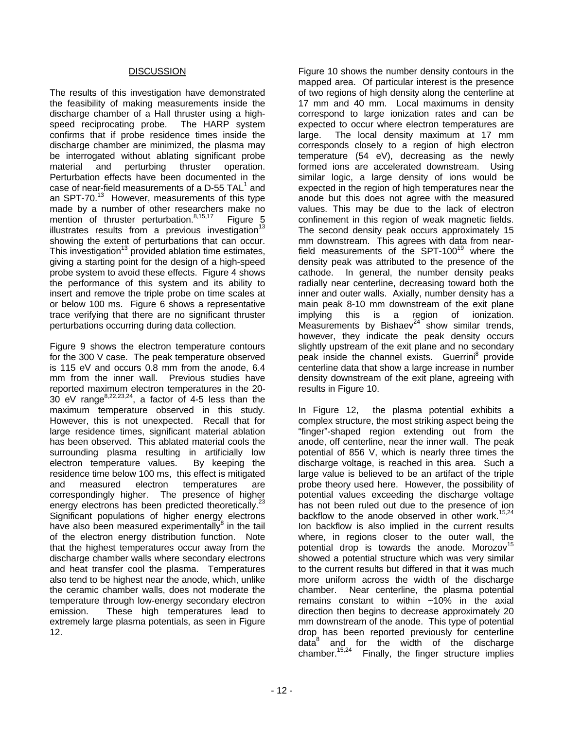### **DISCUSSION**

The results of this investigation have demonstrated the feasibility of making measurements inside the discharge chamber of a Hall thruster using a high-<br>speed reciprocating probe. The HARP system speed reciprocating probe. confirms that if probe residence times inside the discharge chamber are minimized, the plasma may be interrogated without ablating significant probe material and perturbing thruster operation. material and perturbing thruster operation. Perturbation effects have been documented in the case of near-field measurements of a D-55  $\textsf{TAL}^1$  and an SPT-70. $13$  However, measurements of this type made by a number of other researchers make no<br>mention of thruster perturbation.<sup>8,15,17</sup> Figure 5 mention of thruster perturbation.<sup>8,15,17</sup> illustrates results from a previous investigation<sup>13</sup> showing the extent of perturbations that can occur. This investigation<sup>13</sup> provided ablation time estimates, giving a starting point for the design of a high-speed probe system to avoid these effects. Figure 4 shows the performance of this system and its ability to insert and remove the triple probe on time scales at or below 100 ms. Figure 6 shows a representative trace verifying that there are no significant thruster perturbations occurring during data collection.

Figure 9 shows the electron temperature contours for the 300 V case. The peak temperature observed is 115 eV and occurs 0.8 mm from the anode, 6.4 mm from the inner wall. Previous studies have reported maximum electron temperatures in the 20-  $30 \text{ eV range}^{8,22,23,24}$ , a factor of 4-5 less than the maximum temperature observed in this study. However, this is not unexpected. Recall that for large residence times, significant material ablation has been observed. This ablated material cools the surrounding plasma resulting in artificially low electron temperature values. By keeping the residence time below 100 ms, this effect is mitigated and measured electron temperatures are correspondingly higher. The presence of higher energy electrons has been predicted theoretically.<sup>23</sup> Significant populations of higher energy electrons have also been measured experimentally $^8$  in the tail of the electron energy distribution function. Note that the highest temperatures occur away from the discharge chamber walls where secondary electrons and heat transfer cool the plasma. Temperatures also tend to be highest near the anode, which, unlike the ceramic chamber walls, does not moderate the temperature through low-energy secondary electron emission. These high temperatures lead to extremely large plasma potentials, as seen in Figure 12.

Figure 10 shows the number density contours in the mapped area. Of particular interest is the presence of two regions of high density along the centerline at 17 mm and 40 mm. Local maximums in density correspond to large ionization rates and can be expected to occur where electron temperatures are large. The local density maximum at 17 mm corresponds closely to a region of high electron temperature (54 eV), decreasing as the newly formed ions are accelerated downstream. Using similar logic, a large density of ions would be expected in the region of high temperatures near the anode but this does not agree with the measured values. This may be due to the lack of electron confinement in this region of weak magnetic fields. The second density peak occurs approximately 15 mm downstream. This agrees with data from nearfield measurements of the SPT-100<sup>19</sup> where the density peak was attributed to the presence of the cathode. In general, the number density peaks radially near centerline, decreasing toward both the inner and outer walls. Axially, number density has a main peak 8-10 mm downstream of the exit plane implying this is a region of ionization. Measurements by Bishaev $24$  show similar trends, however, they indicate the peak density occurs slightly upstream of the exit plane and no secondary peak inside the channel exists. Guerrini<sup>8</sup> provide centerline data that show a large increase in number density downstream of the exit plane, agreeing with results in Figure 10.

In Figure 12, the plasma potential exhibits a complex structure, the most striking aspect being the "finger"-shaped region extending out from the anode, off centerline, near the inner wall. The peak potential of 856 V, which is nearly three times the discharge voltage, is reached in this area. Such a large value is believed to be an artifact of the triple probe theory used here. However, the possibility of potential values exceeding the discharge voltage has not been ruled out due to the presence of ion backflow to the anode observed in other work.<sup>15,24</sup> Ion backflow is also implied in the current results where, in regions closer to the outer wall, the potential drop is towards the anode. Morozov $15$ showed a potential structure which was very similar to the current results but differed in that it was much more uniform across the width of the discharge chamber. Near centerline, the plasma potential remains constant to within ~10% in the axial direction then begins to decrease approximately 20 mm downstream of the anode. This type of potential drop has been reported previously for centerline data<sup>8</sup> and for the width of the discharge chamber.<sup>15,24</sup> Finally, the finger structure implies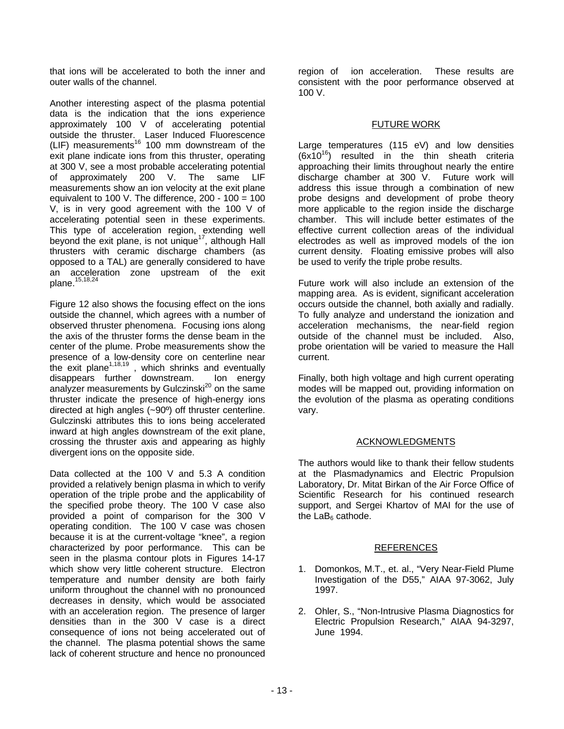that ions will be accelerated to both the inner and outer walls of the channel.

Another interesting aspect of the plasma potential data is the indication that the ions experience approximately 100 V of accelerating potential outside the thruster. Laser Induced Fluorescence (LIF) measurements<sup>16</sup> 100 mm downstream of the exit plane indicate ions from this thruster, operating at 300 V, see a most probable accelerating potential of approximately 200 V. The same LIF measurements show an ion velocity at the exit plane equivalent to 100 V. The difference, 200 - 100 = 100 V, is in very good agreement with the 100 V of accelerating potential seen in these experiments. This type of acceleration region, extending well beyond the exit plane, is not unique<sup>17</sup>, although Hall thrusters with ceramic discharge chambers (as opposed to a TAL) are generally considered to have an acceleration zone upstream of the exit plane.<sup>15,18,24</sup>

Figure 12 also shows the focusing effect on the ions outside the channel, which agrees with a number of observed thruster phenomena. Focusing ions along the axis of the thruster forms the dense beam in the center of the plume. Probe measurements show the presence of a low-density core on centerline near the exit plane<sup> $1,18,19$ </sup>, which shrinks and eventually disappears further downstream. Ion energy analyzer measurements by Gulczinski<sup>20</sup> on the same thruster indicate the presence of high-energy ions directed at high angles (~90º) off thruster centerline. Gulczinski attributes this to ions being accelerated inward at high angles downstream of the exit plane, crossing the thruster axis and appearing as highly divergent ions on the opposite side.

Data collected at the 100 V and 5.3 A condition provided a relatively benign plasma in which to verify operation of the triple probe and the applicability of the specified probe theory. The 100 V case also provided a point of comparison for the 300 V operating condition. The 100 V case was chosen because it is at the current-voltage "knee", a region characterized by poor performance. This can be seen in the plasma contour plots in Figures 14-17 which show very little coherent structure. Electron temperature and number density are both fairly uniform throughout the channel with no pronounced decreases in density, which would be associated with an acceleration region. The presence of larger densities than in the 300 V case is a direct consequence of ions not being accelerated out of the channel. The plasma potential shows the same lack of coherent structure and hence no pronounced

region of ion acceleration. These results are consistent with the poor performance observed at 100 V.

### FUTURE WORK

Large temperatures (115 eV) and low densities  $(6x10^{16})$  resulted in the thin sheath criteria approaching their limits throughout nearly the entire discharge chamber at 300 V. Future work will address this issue through a combination of new probe designs and development of probe theory more applicable to the region inside the discharge chamber. This will include better estimates of the effective current collection areas of the individual electrodes as well as improved models of the ion current density. Floating emissive probes will also be used to verify the triple probe results.

Future work will also include an extension of the mapping area. As is evident, significant acceleration occurs outside the channel, both axially and radially. To fully analyze and understand the ionization and acceleration mechanisms, the near-field region outside of the channel must be included. Also, probe orientation will be varied to measure the Hall current.

Finally, both high voltage and high current operating modes will be mapped out, providing information on the evolution of the plasma as operating conditions vary.

## ACKNOWLEDGMENTS

The authors would like to thank their fellow students at the Plasmadynamics and Electric Propulsion Laboratory, Dr. Mitat Birkan of the Air Force Office of Scientific Research for his continued research support, and Sergei Khartov of MAI for the use of the  $LaB<sub>6</sub>$  cathode.

### REFERENCES

- 1. Domonkos, M.T., et. al., "Very Near-Field Plume Investigation of the D55," AIAA 97-3062, July 1997.
- 2. Ohler, S., "Non-Intrusive Plasma Diagnostics for Electric Propulsion Research," AIAA 94-3297, June 1994.